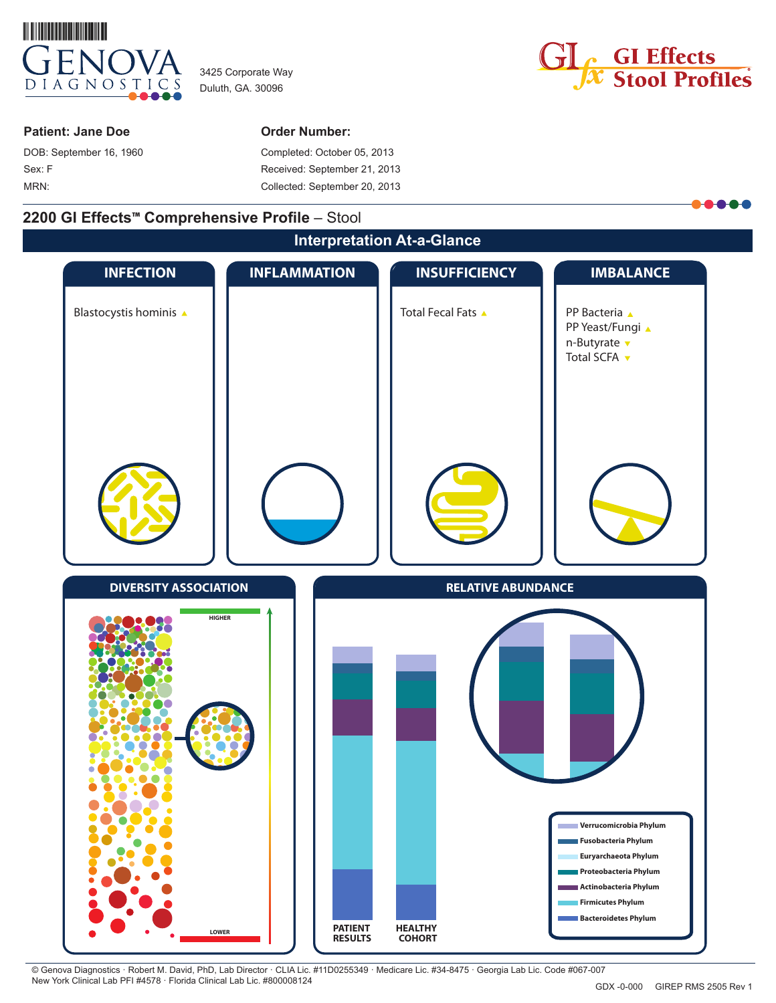

3425 Corporate Way Duluth, GA. 30096



#### **Patient: Jane Doe**

DOB: September 16, 1960 Sex: F MRN:

### **Order Number:**

Completed: October 05, 2013 Received: September 21, 2013 Collected: September 20, 2013

# **2200 GI Effects™ Comprehensive Profile** – Stool



© Genova Diagnostics · Robert M. David, PhD, Lab Director · CLIA Lic. #11D0255349 · Medicare Lic. #34-8475 · Georgia Lab Lic. Code #067-007 New York Clinical Lab PFI #4578 · Florida Clinical Lab Lic. #800008124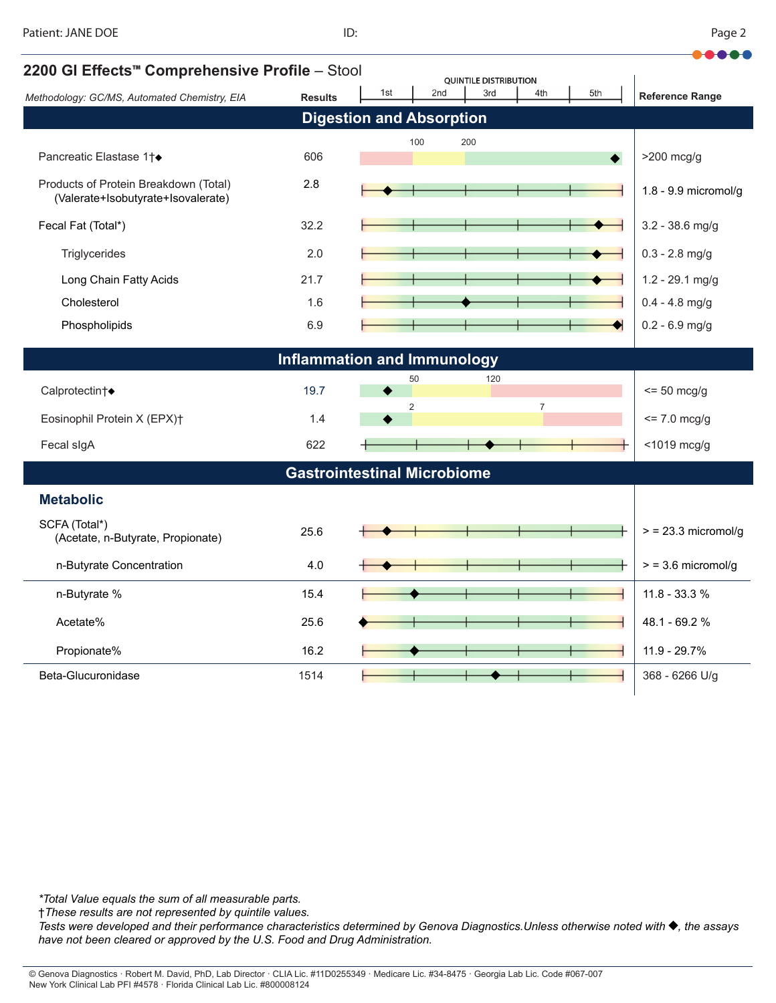| 2200 GI Effects™ Comprehensive Profile – Stool<br><b>QUINTILE DISTRIBUTION</b> |                                    |     |                |     |                |     |                        |
|--------------------------------------------------------------------------------|------------------------------------|-----|----------------|-----|----------------|-----|------------------------|
| Methodology: GC/MS, Automated Chemistry, EIA                                   | <b>Results</b>                     | 1st | 2nd            | 3rd | 4th            | 5th | <b>Reference Range</b> |
|                                                                                | <b>Digestion and Absorption</b>    |     |                |     |                |     |                        |
|                                                                                |                                    |     | 100            | 200 |                |     |                        |
| Pancreatic Elastase 1†◆                                                        | 606                                |     |                |     |                |     | $>200$ mcg/g           |
| Products of Protein Breakdown (Total)<br>(Valerate+Isobutyrate+Isovalerate)    | 2.8                                |     |                |     |                |     | 1.8 - 9.9 micromol/g   |
| Fecal Fat (Total*)                                                             | 32.2                               |     |                |     |                |     | $3.2 - 38.6$ mg/g      |
| Triglycerides                                                                  | 2.0                                |     |                |     |                |     | $0.3 - 2.8$ mg/g       |
| Long Chain Fatty Acids                                                         | 21.7                               |     |                |     |                |     | $1.2 - 29.1$ mg/g      |
| Cholesterol                                                                    | 1.6                                |     |                |     |                |     | $0.4 - 4.8$ mg/g       |
| Phospholipids                                                                  | 6.9                                |     |                |     |                |     | $0.2 - 6.9$ mg/g       |
|                                                                                | <b>Inflammation and Immunology</b> |     |                |     |                |     |                        |
| Calprotectin†+                                                                 | 19.7                               |     | 50             | 120 |                |     | $\leq$ 50 mcg/g        |
|                                                                                |                                    |     | $\overline{2}$ |     | $\overline{7}$ |     |                        |
| Eosinophil Protein X (EPX) <sup>+</sup>                                        | 1.4                                |     |                |     |                |     | $= 7.0$ mcg/g          |
| Fecal sigA                                                                     | 622                                |     |                |     |                |     | <1019 mcg/g            |
|                                                                                | <b>Gastrointestinal Microbiome</b> |     |                |     |                |     |                        |
| <b>Metabolic</b>                                                               |                                    |     |                |     |                |     |                        |
| SCFA (Total*)<br>(Acetate, n-Butyrate, Propionate)                             | 25.6                               |     |                |     |                |     | $>$ = 23.3 micromol/g  |
| n-Butyrate Concentration                                                       | 4.0                                |     |                |     |                |     | $>$ = 3.6 micromol/g   |
| n-Butyrate %                                                                   | 15.4                               |     |                |     |                |     | $11.8 - 33.3 %$        |
| Acetate%                                                                       | 25.6                               |     |                |     |                |     | 48.1 - 69.2 %          |
| Propionate%                                                                    | 16.2                               |     |                |     |                |     | 11.9 - 29.7%           |
| Beta-Glucuronidase                                                             | 1514                               |     |                |     |                |     | 368 - 6266 U/g         |

*\*Total Value equals the sum of all measurable parts.*

†*These results are not represented by quintile values.*

*Tests were developed and their performance characteristics determined by Genova Diagnostics.Unless otherwise noted with ♦, the assays have not been cleared or approved by the U.S. Food and Drug Administration.*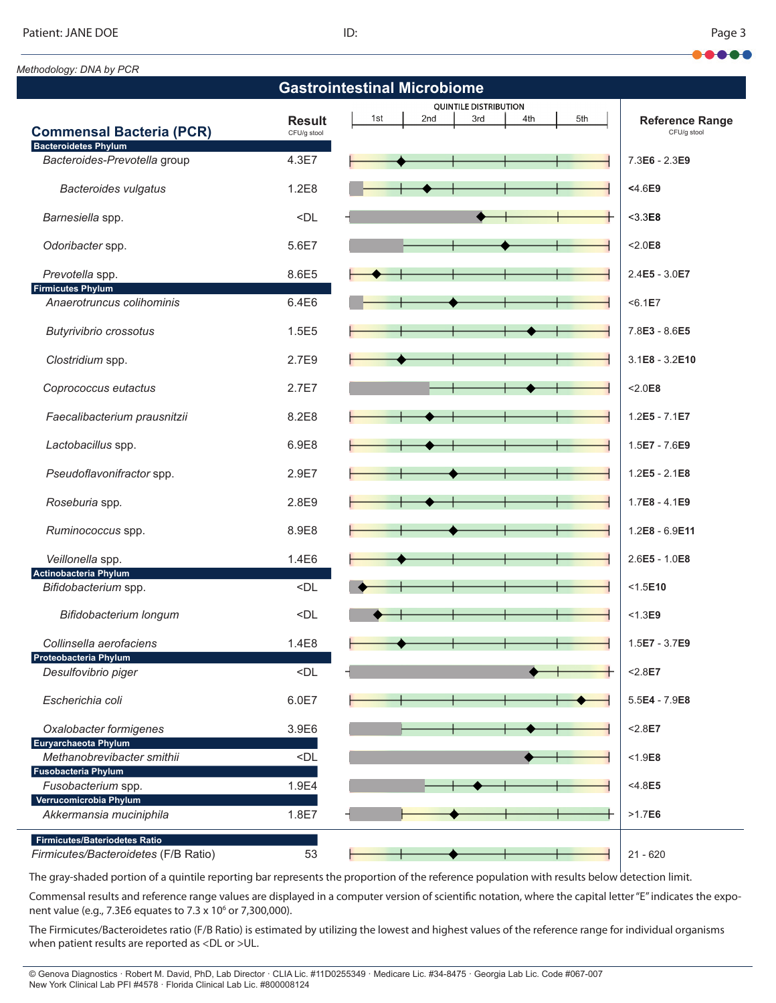*Methodology: DNA by PCR*

**Gastrointestinal Microbiome QUINTILE DISTRIBUTION** 1<sub>st</sub>  $2nd$ 3rd 4th 5th **Reference Range Result Commensal Bacteria (PCR)** CFU/g stool **Bacteroidetes Phylum** *Bacteroides-Prevotella* group 4.3E7 7.3**E6** - 2.3**E9** *Bacteroides vulgatus* 1.2E8 **<**4.6**E9 Barnesiella spp.**  $\left\{\infty\right\}$   $\left\{\infty\right\}$   $\left\{\infty\right\}$   $\left\{\infty\right\}$   $\left\{\infty\right\}$   $\left\{\infty\right\}$   $\left\{\infty\right\}$   $\left\{\infty\right\}$   $\left\{\infty\right\}$   $\left\{\infty\right\}$   $\left\{\infty\right\}$   $\left\{\infty\right\}$   $\left\{\infty\right\}$   $\left\{\infty\right\}$   $\left\{\infty\right\}$   $\left\{\infty\$ *Odoribacter* spp. 5.6E7 <2.0**E8** *Prevotella* spp. 8.6E5 2.4**E5** - 3.0**E7 Firmicutes Phylum** *Anaerotruncus colihominis* 6.4E6 <6.1**E**7 *Butyrivibrio crossotus* **1.5E5 1.5E5 1.5E5 1.5E5 1.5E5 1.5E5 1.5E5 1.5E3 8.6E5** *Clostridium* spp. **2.7E9 12.7E9 1 4 1 1 1 1E8 1 1E8 1 1E8 Coprococcus eutactus** 2.7E7 **2.7E7 2.0E8 Faecalibacterium prausnitzii** 8.2E8 **1.2E5** - 7.1E7 **Lactobacillus spp.** 6.9E8 **1.5E7** - 7.6E9 **Pseudoflavonifractor spp. 2.9E7** 1.2**E5** - 2.1**E8** *Roseburia* spp*.* 2.8E9 1.7**E8** - 4.1**E9 Ruminococcus spp.** 8.9E8 **1.2E8** 1.2**E8** 1.2**E8** 1.2**E8** 1.2**E8** 1.2**E8** *Veillonella* spp. 1.4E6 2.6**E5** - 1.0**E8 Actinobacteria Phylum** *Bifidobacterium* spp. <DL <1.5**E10 Bifidobacterium longum**  $\left|\left| \begin{array}{c} \left| \left| \left| \right| & \left| \right| & \left| \right| & \left| \right| \right| & \left| \left| \right| \right| & \left| \left| \right| \right| & \left| \left| \right| \right| \right| & \left| \left| \left| \right| \right| & \left| \left| \right| \right| & \left| \left| \right| \right| \right| & \left| \left| \left| \right| \right| & \left| \left| \right| \right| & \left| \left| \right| \right| & \left| \left| \right| \right| & \left| \left$ *Collinsella aerofaciens* 1.4E8 1.5**E7** - 3.7**E9 Proteobacteria Phylum** *Desulfovibrio piger* <DL <2.8**E7** *Escherichia coli* 6.0E7 5.5**E4** - 7.9**E8 Oxalobacter formigenes** 3.9E6 **CONS** 3.9E6 **CONS** 2.8E7 **Euryarchaeota Phylum** *Methanobrevibacter smithii*  $\leftarrow$   $\leftarrow$   $\leftarrow$   $\leftarrow$   $\leftarrow$   $\leftarrow$   $\leftarrow$   $\leftarrow$   $\leftarrow$   $\leftarrow$   $\leftarrow$   $\leftarrow$   $\leftarrow$   $\leftarrow$   $\leftarrow$   $\leftarrow$   $\leftarrow$   $\leftarrow$   $\leftarrow$   $\leftarrow$   $\leftarrow$   $\leftarrow$   $\leftarrow$   $\leftarrow$   $\leftarrow$   $\leftarrow$   $\leftarrow$   $\leftarrow$   $\leftarrow$   $\leftarrow$   $\leftarrow$   $\leftarrow$ **Fusobacteria Phylum** *Fusobacterium* spp*.* 1.9E4 <4.8**E5 Verrucomicrobia Phylum Akkermansia muciniphila** 1.8E7 − <del>1.8E7 + 1.8E7 + 1.8E7 + 1.8E7 + 1.8E7 + 1.8E7 + 1.7E6</del>  **Firmicutes/Bateriodetes Ratio** *Firmicutes/Bacteroidetes* (F/B Ratio) 53 <del>| | | | | | | | |</del> | 21 - 620

The gray-shaded portion of a quintile reporting bar represents the proportion of the reference population with results below detection limit.

Commensal results and reference range values are displayed in a computer version of scientific notation, where the capital letter "E" indicates the exponent value (e.g., 7.3E6 equates to 7.3 x 10<sup>6</sup> or 7,300,000).

The Firmicutes/Bacteroidetes ratio (F/B Ratio) is estimated by utilizing the lowest and highest values of the reference range for individual organisms when patient results are reported as <DL or >UL.

© Genova Diagnostics · Robert M. David, PhD, Lab Director · CLIA Lic. #11D0255349 · Medicare Lic. #34-8475 · Georgia Lab Lic. Code #067-007 New York Clinical Lab PFI #4578 · Florida Clinical Lab Lic. #800008124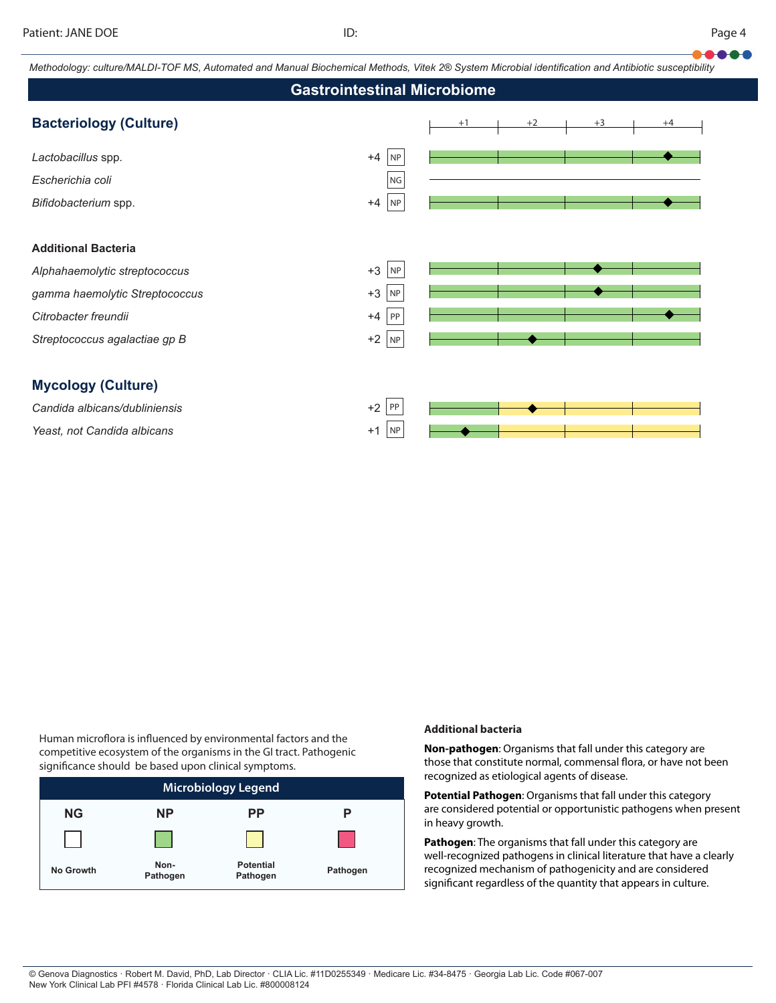*Methodology: culture/MALDI-TOF MS, Automated and Manual Biochemical Methods, Vitek 2® System Microbial identification and Antibiotic susceptibility*

**Gastrointestinal Microbiome**

|                                | uusti viittustiitai mitel viivilitu |      |      |      |      |
|--------------------------------|-------------------------------------|------|------|------|------|
| <b>Bacteriology (Culture)</b>  |                                     | $+1$ | $+2$ | $+3$ | $+4$ |
| Lactobacillus spp.             | $+4$<br>NP                          |      |      |      |      |
| Escherichia coli               | NG                                  |      |      |      |      |
| Bifidobacterium spp.           | $+4$<br>NP                          |      |      |      |      |
|                                |                                     |      |      |      |      |
| <b>Additional Bacteria</b>     |                                     |      |      |      |      |
| Alphahaemolytic streptococcus  | $+3$<br>NP                          |      |      |      |      |
| gamma haemolytic Streptococcus | $+3$<br>NP                          |      |      |      |      |
| Citrobacter freundii           | $+4$<br>PP                          |      |      |      |      |
| Streptococcus agalactiae gp B  | $+2$<br>NP                          |      |      |      |      |
|                                |                                     |      |      |      |      |
| <b>Mycology (Culture)</b>      |                                     |      |      |      |      |
| Candida albicans/dubliniensis  | $+2$<br>PP                          |      |      |      |      |
| Yeast, not Candida albicans    | NP<br>$+1$                          |      |      |      |      |

Human microflora is influenced by environmental factors and the competitive ecosystem of the organisms in the GI tract. Pathogenic significance should be based upon clinical symptoms.

| <b>Microbiology Legend</b> |                  |                              |          |  |
|----------------------------|------------------|------------------------------|----------|--|
| <b>NG</b>                  | <b>NP</b>        | РP                           | P        |  |
|                            |                  |                              |          |  |
| <b>No Growth</b>           | Non-<br>Pathogen | <b>Potential</b><br>Pathogen | Pathogen |  |

#### **Additional bacteria**

**Non-pathogen**: Organisms that fall under this category are those that constitute normal, commensal flora, or have not been recognized as etiological agents of disease.

**Potential Pathogen**: Organisms that fall under this category are considered potential or opportunistic pathogens when present in heavy growth.

**Pathogen**: The organisms that fall under this category are well-recognized pathogens in clinical literature that have a clearly recognized mechanism of pathogenicity and are considered significant regardless of the quantity that appears in culture.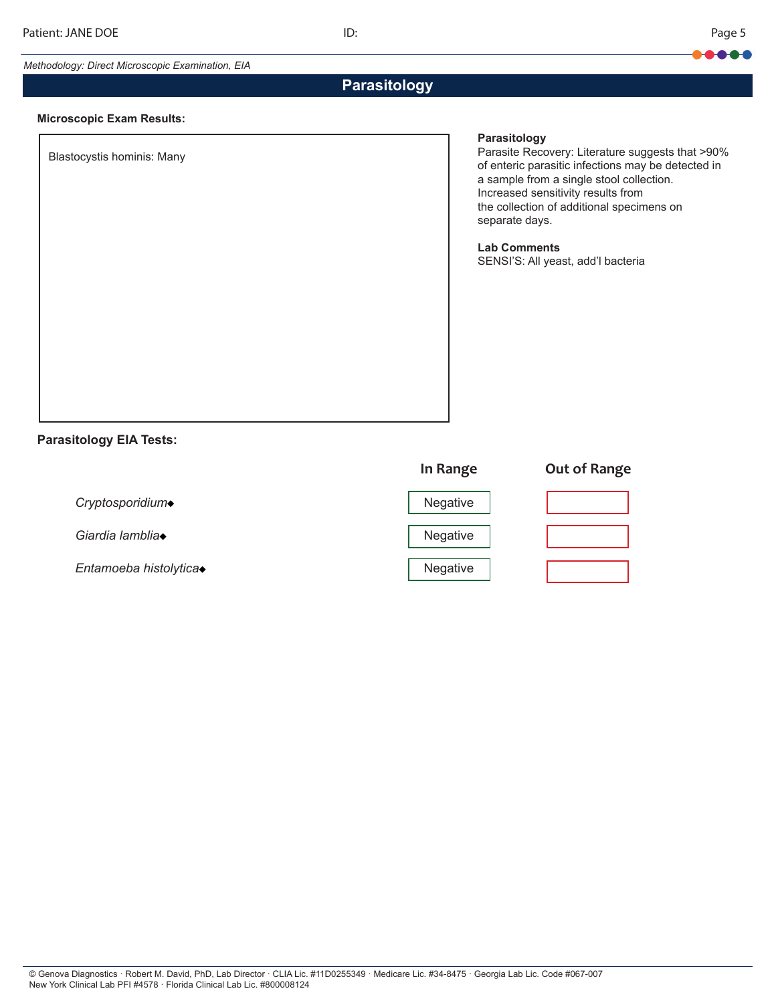# ..... *Methodology: Direct Microscopic Examination, EIA* **Parasitology Microscopic Exam Results: Parasitology** Parasite Recovery: Literature suggests that >90% Blastocystis hominis: Many of enteric parasitic infections may be detected in a sample from a single stool collection. Increased sensitivity results from the collection of additional specimens on separate days. **Lab Comments** SENSI'S: All yeast, add'l bacteria **Parasitology EIA Tests: In Range Out of Range** *Cryptosporidium* Giardia lamblia<br/> **Giardia lamblia Entamoeba histolytica** and a new metal entries a negative Negative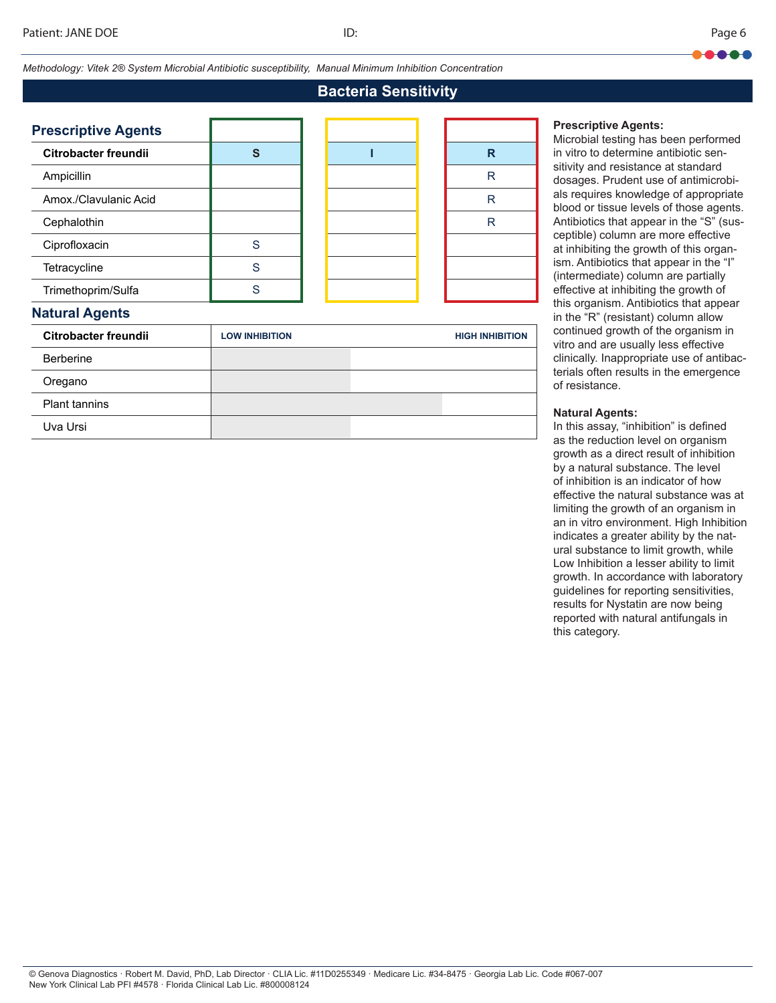*Methodology: Vitek 2® System Microbial Antibiotic susceptibility, Manual Minimum Inhibition Concentration* 

## **Bacteria Sensitivity**

| <b>Prescriptive Agents</b> |   |   |
|----------------------------|---|---|
| Citrobacter freundii       | S | R |
| Ampicillin                 |   | R |
| Amox./Clavulanic Acid      |   | R |
| Cephalothin                |   | R |
| Ciprofloxacin              | S |   |
| Tetracycline               | S |   |
| Trimethoprim/Sulfa         | S |   |
| <b>Natural Agents</b>      |   |   |

| Citrobacter freundii | <b>LOW INHIBITION</b> | <b>HIGH INHIBITION</b> |
|----------------------|-----------------------|------------------------|
| <b>Berberine</b>     |                       |                        |
| Oregano              |                       |                        |
| <b>Plant tannins</b> |                       |                        |
| Uva Ursi             |                       |                        |

#### **Prescriptive Agents:**

Microbial testing has been performed in vitro to determine antibiotic sensitivity and resistance at standard dosages. Prudent use of antimicrobials requires knowledge of appropriate blood or tissue levels of those agents. Antibiotics that appear in the "S" (susceptible) column are more effective at inhibiting the growth of this organism. Antibiotics that appear in the "I" (intermediate) column are partially effective at inhibiting the growth of this organism. Antibiotics that appear in the "R" (resistant) column allow continued growth of the organism in vitro and are usually less effective clinically. Inappropriate use of antibacterials often results in the emergence of resistance.

#### **Natural Agents:**

In this assay, "inhibition" is defined as the reduction level on organism growth as a direct result of inhibition by a natural substance. The level of inhibition is an indicator of how effective the natural substance was at limiting the growth of an organism in an in vitro environment. High Inhibition indicates a greater ability by the natural substance to limit growth, while Low Inhibition a lesser ability to limit growth. In accordance with laboratory guidelines for reporting sensitivities, results for Nystatin are now being reported with natural antifungals in this category.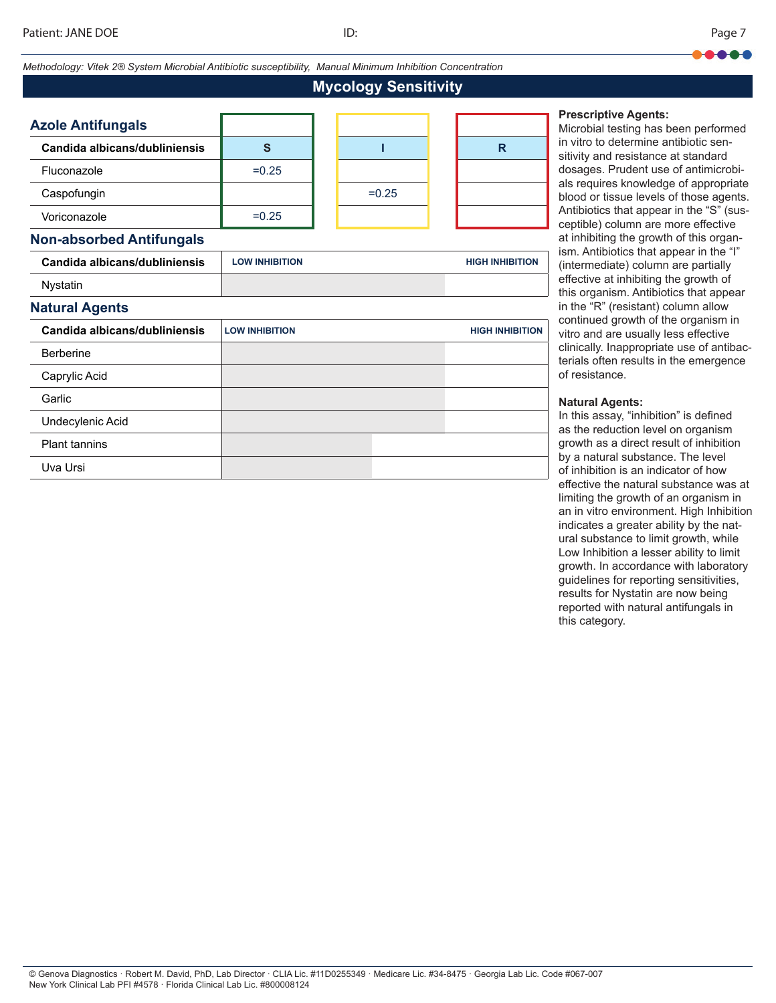*Methodology: Vitek 2® System Microbial Antibiotic susceptibility, Manual Minimum Inhibition Concentration* 

# **Mycology Sensitivity**

| <b>Azole Antifungals</b>                                             |         |         |  |
|----------------------------------------------------------------------|---------|---------|--|
| Candida albicans/dubliniensis                                        |         |         |  |
| Fluconazole                                                          | $=0.25$ |         |  |
| Caspofungin                                                          |         | $=0.25$ |  |
| Voriconazole                                                         | $=0.25$ |         |  |
| $\mathbf{A}$ , and a set of $\mathbf{A}$ , and a set of $\mathbf{A}$ |         |         |  |

# **Prescriptive Agents:**  Microbial testing has been performed

in vitro to determine antibiotic sensitivity and resistance at standard dosages. Prudent use of antimicrobials requires knowledge of appropriate blood or tissue levels of those agents. Antibiotics that appear in the "S" (susceptible) column are more effective at inhibiting the growth of this organism. Antibiotics that appear in the "I" (intermediate) column are partially effective at inhibiting the growth of this organism. Antibiotics that appear in the "R" (resistant) column allow continued growth of the organism in vitro and are usually less effective clinically. Inappropriate use of antibacterials often results in the emergence of resistance.

#### **Natural Agents:**

In this assay, "inhibition" is defined as the reduction level on organism growth as a direct result of inhibition by a natural substance. The level of inhibition is an indicator of how effective the natural substance was at limiting the growth of an organism in an in vitro environment. High Inhibition indicates a greater ability by the natural substance to limit growth, while Low Inhibition a lesser ability to limit growth. In accordance with laboratory guidelines for reporting sensitivities, results for Nystatin are now being reported with natural antifungals in this category.

#### **Non-absorbed Antifungals**

| Candida albicans/dubliniensis | <b>LOW INHIBITION</b> | <b>HIGH INHIBITION</b> |
|-------------------------------|-----------------------|------------------------|
| Nystatin                      |                       |                        |

#### **Natural Agents**

| Candida albicans/dubliniensis | <b>LOW INHIBITION</b> | <b>HIGH INHIBITION</b> |
|-------------------------------|-----------------------|------------------------|
| Berberine                     |                       |                        |
| Caprylic Acid                 |                       |                        |
| Garlic                        |                       |                        |
| Undecylenic Acid              |                       |                        |
| <b>Plant tannins</b>          |                       |                        |
| Uva Ursi                      |                       |                        |